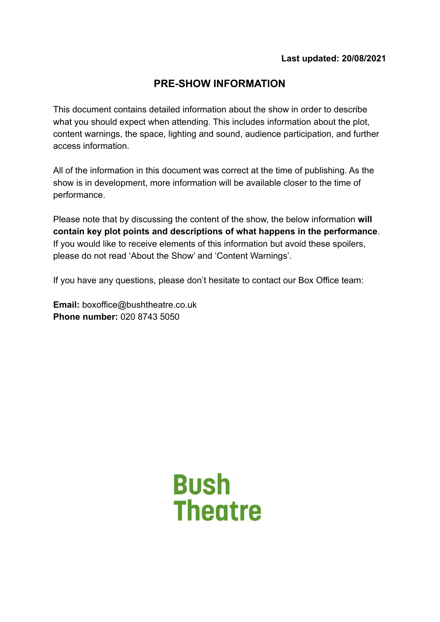# **PRE-SHOW INFORMATION**

This document contains detailed information about the show in order to describe what you should expect when attending. This includes information about the plot, content warnings, the space, lighting and sound, audience participation, and further access information.

All of the information in this document was correct at the time of publishing. As the show is in development, more information will be available closer to the time of performance.

Please note that by discussing the content of the show, the below information **will contain key plot points and descriptions of what happens in the performance**. If you would like to receive elements of this information but avoid these spoilers, please do not read 'About the Show' and 'Content Warnings'.

If you have any questions, please don't hesitate to contact our Box Office team:

**Email:** boxoffice@bushtheatre.co.uk **Phone number:** 020 8743 5050

> **Bush Theatre**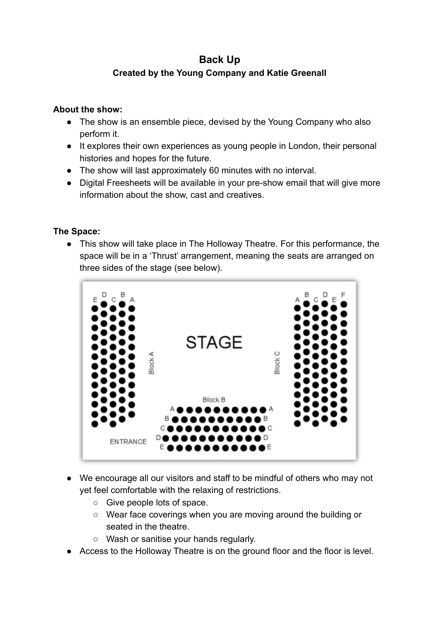# **Back Up Created by the Young Company and Katie Greenall**

#### **About the show:**

- The show is an ensemble piece, devised by the Young Company who also perform it.
- It explores their own experiences as young people in London, their personal histories and hopes for the future.
- The show will last approximately 60 minutes with no interval.
- Digital Freesheets will be available in your pre-show email that will give more information about the show, cast and creatives.

## **The Space:**

● This show will take place in The Holloway Theatre. For this performance, the space will be in a 'Thrust' arrangement, meaning the seats are arranged on three sides of the stage (see below).



- We encourage all our visitors and staff to be mindful of others who may not yet feel comfortable with the relaxing of restrictions.
	- Give people lots of space.
	- Wear face coverings when you are moving around the building or seated in the theatre.
	- Wash or sanitise your hands regularly.
- Access to the Holloway Theatre is on the ground floor and the floor is level.